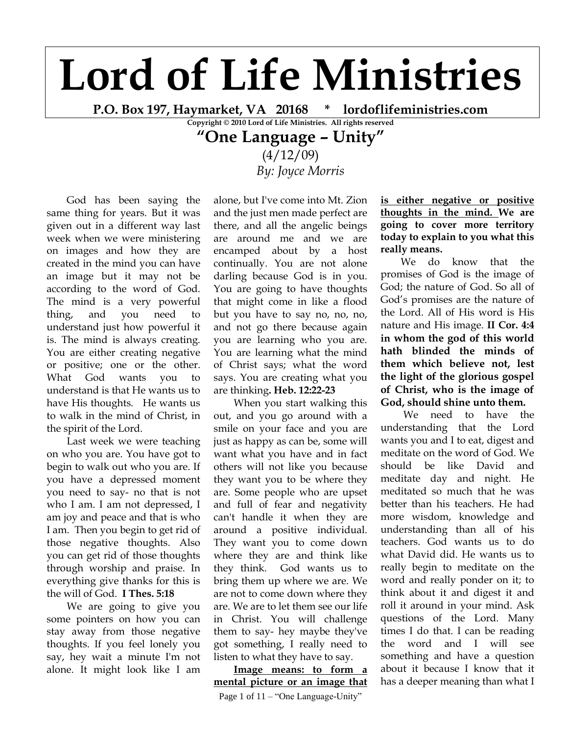## **Lord of Life Ministries**

**P.O. Box 197, Haymarket, VA 20168 \* lordoflifeministries.com**

**Copyright © 2010 Lord of Life Ministries. All rights reserved**

## **"One Language – Unity"**

 $(4/12/09)$ *By: Joyce Morris*

God has been saying the same thing for years. But it was given out in a different way last week when we were ministering on images and how they are created in the mind you can have an image but it may not be according to the word of God. The mind is a very powerful thing, and you need to understand just how powerful it is. The mind is always creating. You are either creating negative or positive; one or the other. What God wants you to understand is that He wants us to have His thoughts. He wants us to walk in the mind of Christ, in the spirit of the Lord.

Last week we were teaching on who you are. You have got to begin to walk out who you are. If you have a depressed moment you need to say- no that is not who I am. I am not depressed, I am joy and peace and that is who I am. Then you begin to get rid of those negative thoughts. Also you can get rid of those thoughts through worship and praise. In everything give thanks for this is the will of God. **I Thes. 5:18**

We are going to give you some pointers on how you can stay away from those negative thoughts. If you feel lonely you say, hey wait a minute I'm not alone. It might look like I am alone, but I've come into Mt. Zion and the just men made perfect are there, and all the angelic beings are around me and we are encamped about by a host continually. You are not alone darling because God is in you. You are going to have thoughts that might come in like a flood but you have to say no, no, no, and not go there because again you are learning who you are. You are learning what the mind of Christ says; what the word says. You are creating what you are thinking**. Heb. 12:22-23**

When you start walking this out, and you go around with a smile on your face and you are just as happy as can be, some will want what you have and in fact others will not like you because they want you to be where they are. Some people who are upset and full of fear and negativity can't handle it when they are around a positive individual. They want you to come down where they are and think like they think. God wants us to bring them up where we are. We are not to come down where they are. We are to let them see our life in Christ. You will challenge them to say- hey maybe they've got something, I really need to listen to what they have to say.

**Image means: to form a mental picture or an image that** 

Page 1 of 11 – "One Language-Unity"

**is either negative or positive thoughts in the mind. We are going to cover more territory today to explain to you what this really means.** 

We do know that the promises of God is the image of God; the nature of God. So all of God's promises are the nature of the Lord. All of His word is His nature and His image. **II Cor. 4:4 in whom the god of this world hath blinded the minds of them which believe not, lest the light of the glorious gospel of Christ, who is the image of God, should shine unto them.**

We need to have the understanding that the Lord wants you and I to eat, digest and meditate on the word of God. We should be like David and meditate day and night. He meditated so much that he was better than his teachers. He had more wisdom, knowledge and understanding than all of his teachers. God wants us to do what David did. He wants us to really begin to meditate on the word and really ponder on it; to think about it and digest it and roll it around in your mind. Ask questions of the Lord. Many times I do that. I can be reading the word and I will see something and have a question about it because I know that it has a deeper meaning than what I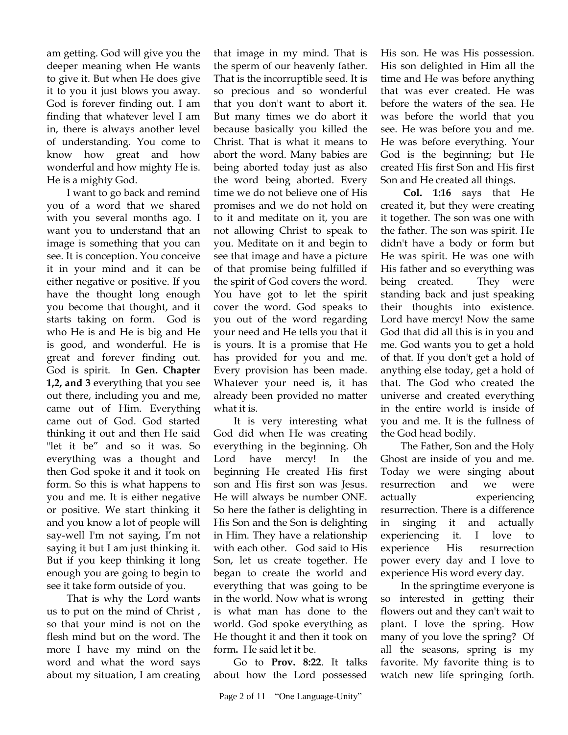am getting. God will give you the deeper meaning when He wants to give it. But when He does give it to you it just blows you away. God is forever finding out. I am finding that whatever level I am in, there is always another level of understanding. You come to know how great and how wonderful and how mighty He is. He is a mighty God.

I want to go back and remind you of a word that we shared with you several months ago. I want you to understand that an image is something that you can see. It is conception. You conceive it in your mind and it can be either negative or positive. If you have the thought long enough you become that thought, and it starts taking on form. God is who He is and He is big and He is good, and wonderful. He is great and forever finding out. God is spirit. In **Gen. Chapter 1,2, and 3** everything that you see out there, including you and me, came out of Him. Everything came out of God. God started thinking it out and then He said "let it be" and so it was. So everything was a thought and then God spoke it and it took on form. So this is what happens to you and me. It is either negative or positive. We start thinking it and you know a lot of people will say-well I'm not saying, I'm not saying it but I am just thinking it. But if you keep thinking it long enough you are going to begin to see it take form outside of you.

That is why the Lord wants us to put on the mind of Christ , so that your mind is not on the flesh mind but on the word. The more I have my mind on the word and what the word says about my situation, I am creating that image in my mind. That is the sperm of our heavenly father. That is the incorruptible seed. It is so precious and so wonderful that you don't want to abort it. But many times we do abort it because basically you killed the Christ. That is what it means to abort the word. Many babies are being aborted today just as also the word being aborted. Every time we do not believe one of His promises and we do not hold on to it and meditate on it, you are not allowing Christ to speak to you. Meditate on it and begin to see that image and have a picture of that promise being fulfilled if the spirit of God covers the word. You have got to let the spirit cover the word. God speaks to you out of the word regarding your need and He tells you that it is yours. It is a promise that He has provided for you and me. Every provision has been made. Whatever your need is, it has already been provided no matter what it is.

It is very interesting what God did when He was creating everything in the beginning. Oh Lord have mercy! In the beginning He created His first son and His first son was Jesus. He will always be number ONE. So here the father is delighting in His Son and the Son is delighting in Him. They have a relationship with each other. God said to His Son, let us create together. He began to create the world and everything that was going to be in the world. Now what is wrong is what man has done to the world. God spoke everything as He thought it and then it took on form**.** He said let it be.

Go to **Prov. 8:22**. It talks about how the Lord possessed

His son. He was His possession. His son delighted in Him all the time and He was before anything that was ever created. He was before the waters of the sea. He was before the world that you see. He was before you and me. He was before everything. Your God is the beginning; but He created His first Son and His first Son and He created all things.

**Col. 1:16** says that He created it, but they were creating it together. The son was one with the father. The son was spirit. He didn't have a body or form but He was spirit. He was one with His father and so everything was being created. They were standing back and just speaking their thoughts into existence. Lord have mercy! Now the same God that did all this is in you and me. God wants you to get a hold of that. If you don't get a hold of anything else today, get a hold of that. The God who created the universe and created everything in the entire world is inside of you and me. It is the fullness of the God head bodily.

The Father, Son and the Holy Ghost are inside of you and me. Today we were singing about resurrection and we were actually experiencing resurrection. There is a difference in singing it and actually experiencing it. I love to experience His resurrection power every day and I love to experience His word every day.

In the springtime everyone is so interested in getting their flowers out and they can't wait to plant. I love the spring. How many of you love the spring? Of all the seasons, spring is my favorite. My favorite thing is to watch new life springing forth.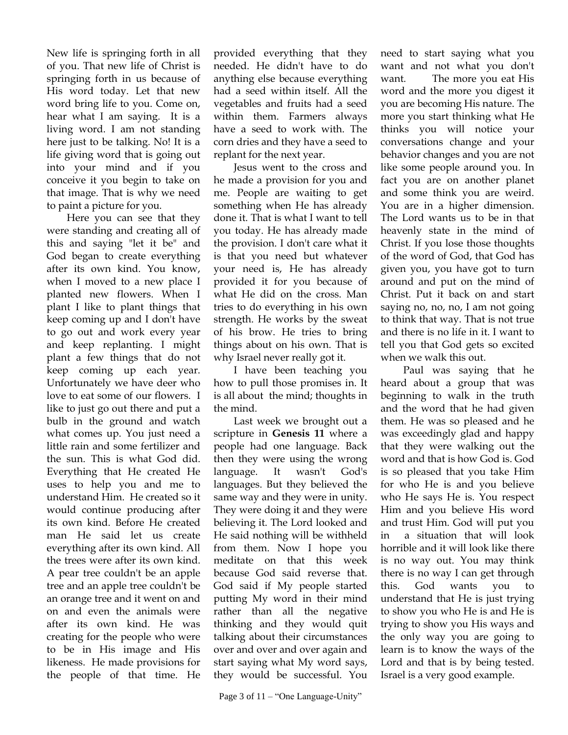New life is springing forth in all of you. That new life of Christ is springing forth in us because of His word today. Let that new word bring life to you. Come on, hear what I am saying. It is a living word. I am not standing here just to be talking. No! It is a life giving word that is going out into your mind and if you conceive it you begin to take on that image. That is why we need to paint a picture for you.

Here you can see that they were standing and creating all of this and saying "let it be" and God began to create everything after its own kind. You know, when I moved to a new place I planted new flowers. When I plant I like to plant things that keep coming up and I don't have to go out and work every year and keep replanting. I might plant a few things that do not keep coming up each year. Unfortunately we have deer who love to eat some of our flowers. I like to just go out there and put a bulb in the ground and watch what comes up. You just need a little rain and some fertilizer and the sun. This is what God did. Everything that He created He uses to help you and me to understand Him. He created so it would continue producing after its own kind. Before He created man He said let us create everything after its own kind. All the trees were after its own kind. A pear tree couldn't be an apple tree and an apple tree couldn't be an orange tree and it went on and on and even the animals were after its own kind. He was creating for the people who were to be in His image and His likeness. He made provisions for the people of that time. He

provided everything that they needed. He didn't have to do anything else because everything had a seed within itself. All the vegetables and fruits had a seed within them. Farmers always have a seed to work with. The corn dries and they have a seed to replant for the next year.

Jesus went to the cross and he made a provision for you and me. People are waiting to get something when He has already done it. That is what I want to tell you today. He has already made the provision. I don't care what it is that you need but whatever your need is, He has already provided it for you because of what He did on the cross. Man tries to do everything in his own strength. He works by the sweat of his brow. He tries to bring things about on his own. That is why Israel never really got it.

I have been teaching you how to pull those promises in. It is all about the mind; thoughts in the mind.

Last week we brought out a scripture in **Genesis 11** where a people had one language. Back then they were using the wrong language. It wasn't God's languages. But they believed the same way and they were in unity. They were doing it and they were believing it. The Lord looked and He said nothing will be withheld from them. Now I hope you meditate on that this week because God said reverse that. God said if My people started putting My word in their mind rather than all the negative thinking and they would quit talking about their circumstances over and over and over again and start saying what My word says, they would be successful. You

need to start saying what you want and not what you don't want. The more you eat His word and the more you digest it you are becoming His nature. The more you start thinking what He thinks you will notice your conversations change and your behavior changes and you are not like some people around you. In fact you are on another planet and some think you are weird. You are in a higher dimension. The Lord wants us to be in that heavenly state in the mind of Christ. If you lose those thoughts of the word of God, that God has given you, you have got to turn around and put on the mind of Christ. Put it back on and start saying no, no, no, I am not going to think that way. That is not true and there is no life in it. I want to tell you that God gets so excited when we walk this out.

Paul was saying that he heard about a group that was beginning to walk in the truth and the word that he had given them. He was so pleased and he was exceedingly glad and happy that they were walking out the word and that is how God is. God is so pleased that you take Him for who He is and you believe who He says He is. You respect Him and you believe His word and trust Him. God will put you in a situation that will look horrible and it will look like there is no way out. You may think there is no way I can get through this. God wants you to understand that He is just trying to show you who He is and He is trying to show you His ways and the only way you are going to learn is to know the ways of the Lord and that is by being tested. Israel is a very good example.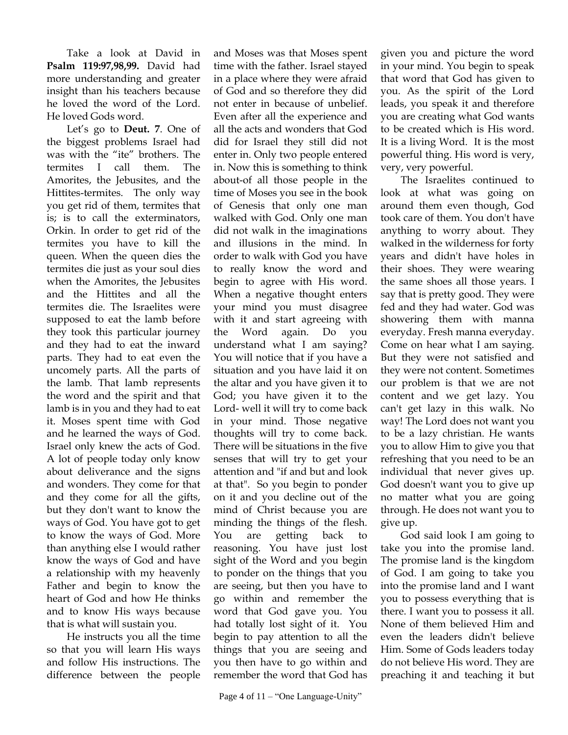Take a look at David in **Psalm 119:97,98,99.** David had more understanding and greater insight than his teachers because he loved the word of the Lord. He loved Gods word.

Let's go to **Deut. 7**. One of the biggest problems Israel had was with the "ite" brothers. The termites I call them. The Amorites, the Jebusites, and the Hittites-termites. The only way you get rid of them, termites that is; is to call the exterminators, Orkin. In order to get rid of the termites you have to kill the queen. When the queen dies the termites die just as your soul dies when the Amorites, the Jebusites and the Hittites and all the termites die. The Israelites were supposed to eat the lamb before they took this particular journey and they had to eat the inward parts. They had to eat even the uncomely parts. All the parts of the lamb. That lamb represents the word and the spirit and that lamb is in you and they had to eat it. Moses spent time with God and he learned the ways of God. Israel only knew the acts of God. A lot of people today only know about deliverance and the signs and wonders. They come for that and they come for all the gifts, but they don't want to know the ways of God. You have got to get to know the ways of God. More than anything else I would rather know the ways of God and have a relationship with my heavenly Father and begin to know the heart of God and how He thinks and to know His ways because that is what will sustain you.

He instructs you all the time so that you will learn His ways and follow His instructions. The difference between the people

and Moses was that Moses spent time with the father. Israel stayed in a place where they were afraid of God and so therefore they did not enter in because of unbelief. Even after all the experience and all the acts and wonders that God did for Israel they still did not enter in. Only two people entered in. Now this is something to think about-of all those people in the time of Moses you see in the book of Genesis that only one man walked with God. Only one man did not walk in the imaginations and illusions in the mind. In order to walk with God you have to really know the word and begin to agree with His word. When a negative thought enters your mind you must disagree with it and start agreeing with the Word again. Do you understand what I am saying? You will notice that if you have a situation and you have laid it on the altar and you have given it to God; you have given it to the Lord- well it will try to come back in your mind. Those negative thoughts will try to come back. There will be situations in the five senses that will try to get your attention and "if and but and look at that". So you begin to ponder on it and you decline out of the mind of Christ because you are minding the things of the flesh. You are getting back to reasoning. You have just lost sight of the Word and you begin to ponder on the things that you are seeing, but then you have to go within and remember the word that God gave you. You had totally lost sight of it. You begin to pay attention to all the things that you are seeing and you then have to go within and remember the word that God has

given you and picture the word in your mind. You begin to speak that word that God has given to you. As the spirit of the Lord leads, you speak it and therefore you are creating what God wants to be created which is His word. It is a living Word. It is the most powerful thing. His word is very, very, very powerful.

The Israelites continued to look at what was going on around them even though, God took care of them. You don't have anything to worry about. They walked in the wilderness for forty years and didn't have holes in their shoes. They were wearing the same shoes all those years. I say that is pretty good. They were fed and they had water. God was showering them with manna everyday. Fresh manna everyday. Come on hear what I am saying. But they were not satisfied and they were not content. Sometimes our problem is that we are not content and we get lazy. You can't get lazy in this walk. No way! The Lord does not want you to be a lazy christian. He wants you to allow Him to give you that refreshing that you need to be an individual that never gives up. God doesn't want you to give up no matter what you are going through. He does not want you to give up.

God said look I am going to take you into the promise land. The promise land is the kingdom of God. I am going to take you into the promise land and I want you to possess everything that is there. I want you to possess it all. None of them believed Him and even the leaders didn't believe Him. Some of Gods leaders today do not believe His word. They are preaching it and teaching it but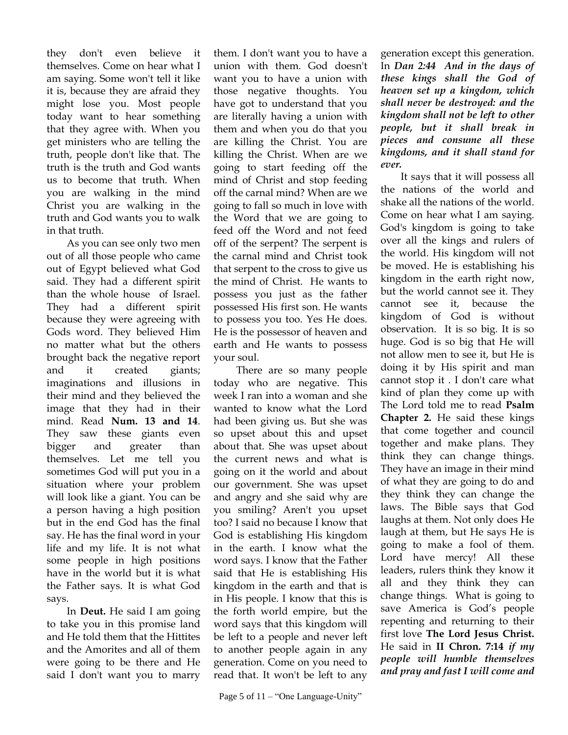they don't even believe it themselves. Come on hear what I am saying. Some won't tell it like it is, because they are afraid they might lose you. Most people today want to hear something that they agree with. When you get ministers who are telling the truth, people don't like that. The truth is the truth and God wants us to become that truth. When you are walking in the mind Christ you are walking in the truth and God wants you to walk in that truth.

As you can see only two men out of all those people who came out of Egypt believed what God said. They had a different spirit than the whole house of Israel. They had a different spirit because they were agreeing with Gods word. They believed Him no matter what but the others brought back the negative report and it created giants; imaginations and illusions in their mind and they believed the image that they had in their mind. Read **Num. 13 and 14**. They saw these giants even bigger and greater than themselves. Let me tell you sometimes God will put you in a situation where your problem will look like a giant. You can be a person having a high position but in the end God has the final say. He has the final word in your life and my life. It is not what some people in high positions have in the world but it is what the Father says. It is what God says.

In **Deut.** He said I am going to take you in this promise land and He told them that the Hittites and the Amorites and all of them were going to be there and He said I don't want you to marry them. I don't want you to have a union with them. God doesn't want you to have a union with those negative thoughts. You have got to understand that you are literally having a union with them and when you do that you are killing the Christ. You are killing the Christ. When are we going to start feeding off the mind of Christ and stop feeding off the carnal mind? When are we going to fall so much in love with the Word that we are going to feed off the Word and not feed off of the serpent? The serpent is the carnal mind and Christ took that serpent to the cross to give us the mind of Christ. He wants to possess you just as the father possessed His first son. He wants to possess you too. Yes He does. He is the possessor of heaven and earth and He wants to possess your soul.

There are so many people today who are negative. This week I ran into a woman and she wanted to know what the Lord had been giving us. But she was so upset about this and upset about that. She was upset about the current news and what is going on it the world and about our government. She was upset and angry and she said why are you smiling? Aren't you upset too? I said no because I know that God is establishing His kingdom in the earth. I know what the word says. I know that the Father said that He is establishing His kingdom in the earth and that is in His people. I know that this is the forth world empire, but the word says that this kingdom will be left to a people and never left to another people again in any generation. Come on you need to read that. It won't be left to any

generation except this generation. In *Dan 2:44 And in the days of these kings shall the God of heaven set up a kingdom, which shall never be destroyed: and the kingdom shall not be left to other people, but it shall break in pieces and consume all these kingdoms, and it shall stand for ever.* 

It says that it will possess all the nations of the world and shake all the nations of the world. Come on hear what I am saying. God's kingdom is going to take over all the kings and rulers of the world. His kingdom will not be moved. He is establishing his kingdom in the earth right now, but the world cannot see it. They cannot see it, because the kingdom of God is without observation. It is so big. It is so huge. God is so big that He will not allow men to see it, but He is doing it by His spirit and man cannot stop it . I don't care what kind of plan they come up with The Lord told me to read **Psalm Chapter 2.** He said these kings that come together and council together and make plans. They think they can change things. They have an image in their mind of what they are going to do and they think they can change the laws. The Bible says that God laughs at them. Not only does He laugh at them, but He says He is going to make a fool of them. Lord have mercy! All these leaders, rulers think they know it all and they think they can change things. What is going to save America is God's people repenting and returning to their first love **The Lord Jesus Christ.** He said in **II Chron. 7:14** *if my people will humble themselves and pray and fast I will come and*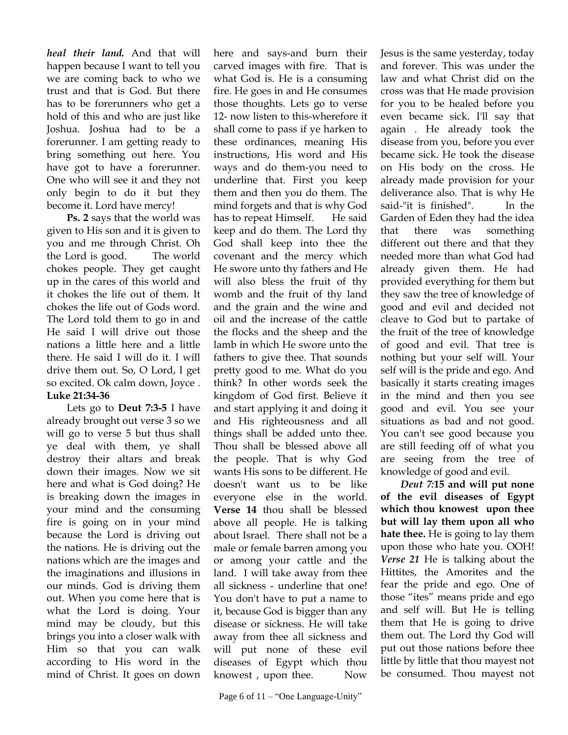*heal their land.* And that will happen because I want to tell you we are coming back to who we trust and that is God. But there has to be forerunners who get a hold of this and who are just like Joshua. Joshua had to be a forerunner. I am getting ready to bring something out here. You have got to have a forerunner. One who will see it and they not only begin to do it but they become it. Lord have mercy!

**Ps. 2** says that the world was given to His son and it is given to you and me through Christ. Oh the Lord is good. The world chokes people. They get caught up in the cares of this world and it chokes the life out of them. It chokes the life out of Gods word. The Lord told them to go in and He said I will drive out those nations a little here and a little there. He said I will do it. I will drive them out. So, O Lord, I get so excited. Ok calm down, Joyce . **Luke 21:34-36**

Lets go to **Deut 7:3-5** I have already brought out verse 3 so we will go to verse 5 but thus shall ye deal with them, ye shall destroy their altars and break down their images. Now we sit here and what is God doing? He is breaking down the images in your mind and the consuming fire is going on in your mind because the Lord is driving out the nations. He is driving out the nations which are the images and the imaginations and illusions in our minds. God is driving them out. When you come here that is what the Lord is doing. Your mind may be cloudy, but this brings you into a closer walk with Him so that you can walk according to His word in the mind of Christ. It goes on down

here and says-and burn their carved images with fire. That is what God is. He is a consuming fire. He goes in and He consumes those thoughts. Lets go to verse 12- now listen to this-wherefore it shall come to pass if ye harken to these ordinances, meaning His instructions, His word and His ways and do them-you need to underline that. First you keep them and then you do them. The mind forgets and that is why God has to repeat Himself. He said keep and do them. The Lord thy God shall keep into thee the covenant and the mercy which He swore unto thy fathers and He will also bless the fruit of thy womb and the fruit of thy land and the grain and the wine and oil and the increase of the cattle the flocks and the sheep and the lamb in which He swore unto the fathers to give thee. That sounds pretty good to me. What do you think? In other words seek the kingdom of God first. Believe it and start applying it and doing it and His righteousness and all things shall be added unto thee. Thou shall be blessed above all the people. That is why God wants His sons to be different. He doesn't want us to be like everyone else in the world. **Verse 14** thou shall be blessed above all people. He is talking about Israel. There shall not be a male or female barren among you or among your cattle and the land. I will take away from thee all sickness - underline that one! You don't have to put a name to it, because God is bigger than any disease or sickness. He will take away from thee all sickness and will put none of these evil diseases of Egypt which thou knowest , upon thee. Now

Jesus is the same yesterday, today and forever. This was under the law and what Christ did on the cross was that He made provision for you to be healed before you even became sick. I'll say that again . He already took the disease from you, before you ever became sick. He took the disease on His body on the cross. He already made provision for your deliverance also. That is why He said-"it is finished". In the Garden of Eden they had the idea that there was something different out there and that they needed more than what God had already given them. He had provided everything for them but they saw the tree of knowledge of good and evil and decided not cleave to God but to partake of the fruit of the tree of knowledge of good and evil. That tree is nothing but your self will. Your self will is the pride and ego. And basically it starts creating images in the mind and then you see good and evil. You see your situations as bad and not good. You can't see good because you are still feeding off of what you are seeing from the tree of knowledge of good and evil.

*Deut 7:***15 and will put none of the evil diseases of Egypt which thou knowest upon thee but will lay them upon all who hate thee.** He is going to lay them upon those who hate you. OOH! *Verse 21* He is talking about the Hittites, the Amorites and the fear the pride and ego. One of those "ites" means pride and ego and self will. But He is telling them that He is going to drive them out. The Lord thy God will put out those nations before thee little by little that thou mayest not be consumed. Thou mayest not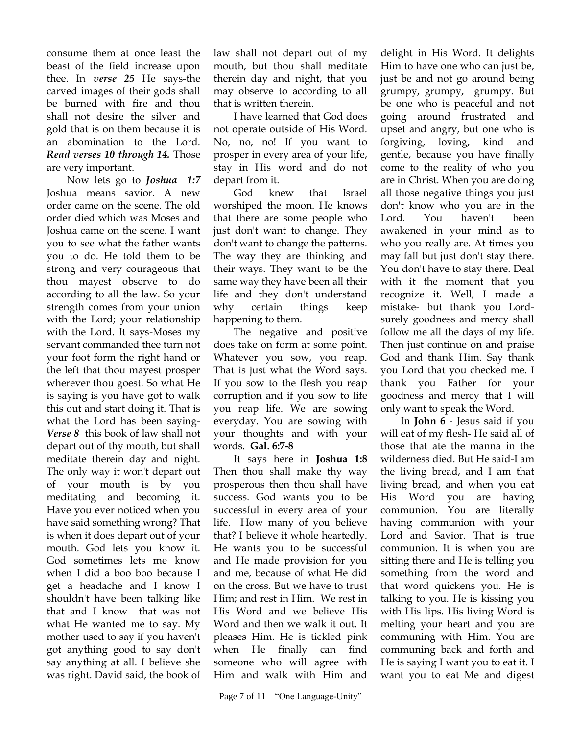consume them at once least the beast of the field increase upon thee. In *verse 25* He says-the carved images of their gods shall be burned with fire and thou shall not desire the silver and gold that is on them because it is an abomination to the Lord. *Read verses 10 through 14.* Those are very important.

Now lets go to *Joshua 1:7* Joshua means savior. A new order came on the scene. The old order died which was Moses and Joshua came on the scene. I want you to see what the father wants you to do. He told them to be strong and very courageous that thou mayest observe to do according to all the law. So your strength comes from your union with the Lord; your relationship with the Lord. It says-Moses my servant commanded thee turn not your foot form the right hand or the left that thou mayest prosper wherever thou goest. So what He is saying is you have got to walk this out and start doing it. That is what the Lord has been saying-*Verse 8* this book of law shall not depart out of thy mouth, but shall meditate therein day and night. The only way it won't depart out of your mouth is by you meditating and becoming it. Have you ever noticed when you have said something wrong? That is when it does depart out of your mouth. God lets you know it. God sometimes lets me know when I did a boo boo because I get a headache and I know I shouldn't have been talking like that and I know that was not what He wanted me to say. My mother used to say if you haven't got anything good to say don't say anything at all. I believe she was right. David said, the book of

law shall not depart out of my mouth, but thou shall meditate therein day and night, that you may observe to according to all that is written therein.

I have learned that God does not operate outside of His Word. No, no, no! If you want to prosper in every area of your life, stay in His word and do not depart from it.

God knew that Israel worshiped the moon. He knows that there are some people who just don't want to change. They don't want to change the patterns. The way they are thinking and their ways. They want to be the same way they have been all their life and they don't understand why certain things keep happening to them.

The negative and positive does take on form at some point. Whatever you sow, you reap. That is just what the Word says. If you sow to the flesh you reap corruption and if you sow to life you reap life. We are sowing everyday. You are sowing with your thoughts and with your words. **Gal. 6:7-8**

It says here in **Joshua 1:8** Then thou shall make thy way prosperous then thou shall have success. God wants you to be successful in every area of your life. How many of you believe that? I believe it whole heartedly. He wants you to be successful and He made provision for you and me, because of what He did on the cross. But we have to trust Him; and rest in Him. We rest in His Word and we believe His Word and then we walk it out. It pleases Him. He is tickled pink when He finally can find someone who will agree with Him and walk with Him and

delight in His Word. It delights Him to have one who can just be, just be and not go around being grumpy, grumpy, grumpy. But be one who is peaceful and not going around frustrated and upset and angry, but one who is forgiving, loving, kind and gentle, because you have finally come to the reality of who you are in Christ. When you are doing all those negative things you just don't know who you are in the Lord. You haven't been awakened in your mind as to who you really are. At times you may fall but just don't stay there. You don't have to stay there. Deal with it the moment that you recognize it. Well, I made a mistake- but thank you Lordsurely goodness and mercy shall follow me all the days of my life. Then just continue on and praise God and thank Him. Say thank you Lord that you checked me. I thank you Father for your goodness and mercy that I will only want to speak the Word.

In **John 6** - Jesus said if you will eat of my flesh- He said all of those that ate the manna in the wilderness died. But He said-I am the living bread, and I am that living bread, and when you eat His Word you are having communion. You are literally having communion with your Lord and Savior. That is true communion. It is when you are sitting there and He is telling you something from the word and that word quickens you. He is talking to you. He is kissing you with His lips. His living Word is melting your heart and you are communing with Him. You are communing back and forth and He is saying I want you to eat it. I want you to eat Me and digest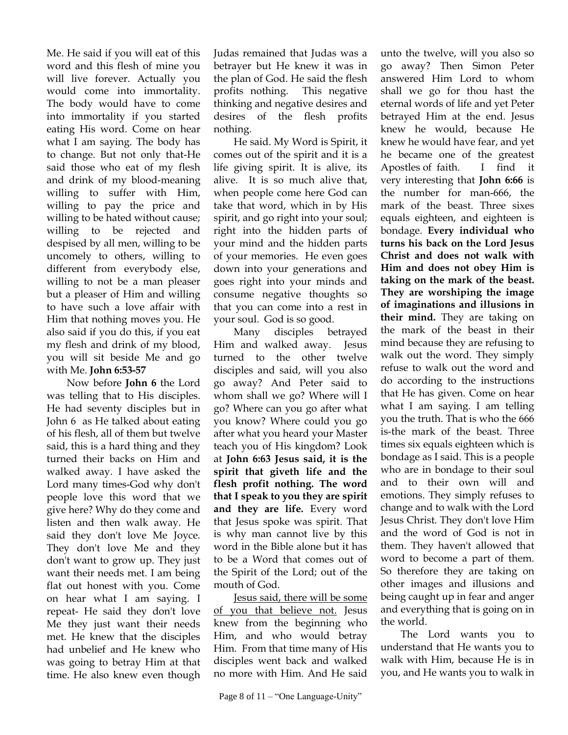Me. He said if you will eat of this word and this flesh of mine you will live forever. Actually you would come into immortality. The body would have to come into immortality if you started eating His word. Come on hear what I am saying. The body has to change. But not only that-He said those who eat of my flesh and drink of my blood-meaning willing to suffer with Him, willing to pay the price and willing to be hated without cause; willing to be rejected and despised by all men, willing to be uncomely to others, willing to different from everybody else, willing to not be a man pleaser but a pleaser of Him and willing to have such a love affair with Him that nothing moves you. He also said if you do this, if you eat my flesh and drink of my blood, you will sit beside Me and go with Me. **John 6:53-57** 

Now before **John 6** the Lord was telling that to His disciples. He had seventy disciples but in John 6 as He talked about eating of his flesh, all of them but twelve said, this is a hard thing and they turned their backs on Him and walked away. I have asked the Lord many times-God why don't people love this word that we give here? Why do they come and listen and then walk away. He said they don't love Me Joyce. They don't love Me and they don't want to grow up. They just want their needs met. I am being flat out honest with you. Come on hear what I am saying. I repeat- He said they don't love Me they just want their needs met. He knew that the disciples had unbelief and He knew who was going to betray Him at that time. He also knew even though

Judas remained that Judas was a betrayer but He knew it was in the plan of God. He said the flesh profits nothing. This negative thinking and negative desires and desires of the flesh profits nothing.

He said. My Word is Spirit, it comes out of the spirit and it is a life giving spirit. It is alive, its alive. It is so much alive that, when people come here God can take that word, which in by His spirit, and go right into your soul; right into the hidden parts of your mind and the hidden parts of your memories. He even goes down into your generations and goes right into your minds and consume negative thoughts so that you can come into a rest in your soul. God is so good.

Many disciples betrayed Him and walked away. Jesus turned to the other twelve disciples and said, will you also go away? And Peter said to whom shall we go? Where will I go? Where can you go after what you know? Where could you go after what you heard your Master teach you of His kingdom? Look at **John 6:63 Jesus said, it is the spirit that giveth life and the flesh profit nothing. The word that I speak to you they are spirit and they are life.** Every word that Jesus spoke was spirit. That is why man cannot live by this word in the Bible alone but it has to be a Word that comes out of the Spirit of the Lord; out of the mouth of God.

Jesus said, there will be some of you that believe not. Jesus knew from the beginning who Him, and who would betray Him. From that time many of His disciples went back and walked no more with Him. And He said

unto the twelve, will you also so go away? Then Simon Peter answered Him Lord to whom shall we go for thou hast the eternal words of life and yet Peter betrayed Him at the end. Jesus knew he would, because He knew he would have fear, and yet he became one of the greatest Apostles of faith. I find it very interesting that **John 6:66** is the number for man-666, the mark of the beast. Three sixes equals eighteen, and eighteen is bondage. **Every individual who turns his back on the Lord Jesus Christ and does not walk with Him and does not obey Him is taking on the mark of the beast. They are worshiping the image of imaginations and illusions in their mind.** They are taking on the mark of the beast in their mind because they are refusing to walk out the word. They simply refuse to walk out the word and do according to the instructions that He has given. Come on hear what I am saying. I am telling you the truth. That is who the 666 is-the mark of the beast. Three times six equals eighteen which is bondage as I said. This is a people who are in bondage to their soul and to their own will and emotions. They simply refuses to change and to walk with the Lord Jesus Christ. They don't love Him and the word of God is not in them. They haven't allowed that word to become a part of them. So therefore they are taking on other images and illusions and being caught up in fear and anger and everything that is going on in the world.

The Lord wants you to understand that He wants you to walk with Him, because He is in you, and He wants you to walk in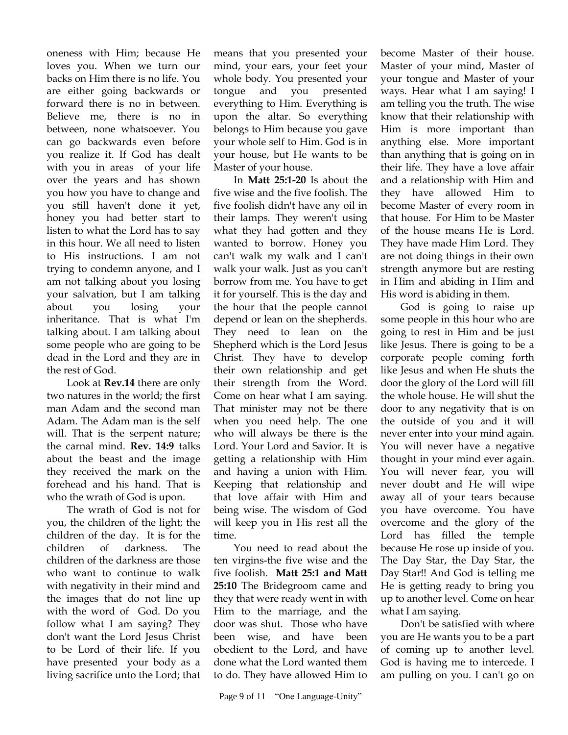oneness with Him; because He loves you. When we turn our backs on Him there is no life. You are either going backwards or forward there is no in between. Believe me, there is no in between, none whatsoever. You can go backwards even before you realize it. If God has dealt with you in areas of your life over the years and has shown you how you have to change and you still haven't done it yet, honey you had better start to listen to what the Lord has to say in this hour. We all need to listen to His instructions. I am not trying to condemn anyone, and I am not talking about you losing your salvation, but I am talking about you losing your inheritance. That is what I'm talking about. I am talking about some people who are going to be dead in the Lord and they are in the rest of God.

Look at **Rev.14** there are only two natures in the world; the first man Adam and the second man Adam. The Adam man is the self will. That is the serpent nature; the carnal mind. **Rev. 14:9** talks about the beast and the image they received the mark on the forehead and his hand. That is who the wrath of God is upon.

The wrath of God is not for you, the children of the light; the children of the day. It is for the children of darkness. The children of the darkness are those who want to continue to walk with negativity in their mind and the images that do not line up with the word of God. Do you follow what I am saying? They don't want the Lord Jesus Christ to be Lord of their life. If you have presented your body as a living sacrifice unto the Lord; that means that you presented your mind, your ears, your feet your whole body. You presented your tongue and you presented everything to Him. Everything is upon the altar. So everything belongs to Him because you gave your whole self to Him. God is in your house, but He wants to be Master of your house.

In **Matt 25:1-20** Is about the five wise and the five foolish. The five foolish didn't have any oil in their lamps. They weren't using what they had gotten and they wanted to borrow. Honey you can't walk my walk and I can't walk your walk. Just as you can't borrow from me. You have to get it for yourself. This is the day and the hour that the people cannot depend or lean on the shepherds. They need to lean on the Shepherd which is the Lord Jesus Christ. They have to develop their own relationship and get their strength from the Word. Come on hear what I am saying. That minister may not be there when you need help. The one who will always be there is the Lord. Your Lord and Savior. It is getting a relationship with Him and having a union with Him. Keeping that relationship and that love affair with Him and being wise. The wisdom of God will keep you in His rest all the time.

You need to read about the ten virgins-the five wise and the five foolish. **Matt 25:1 and Matt 25:10** The Bridegroom came and they that were ready went in with Him to the marriage, and the door was shut. Those who have been wise, and have been obedient to the Lord, and have done what the Lord wanted them to do. They have allowed Him to

become Master of their house. Master of your mind, Master of your tongue and Master of your ways. Hear what I am saying! I am telling you the truth. The wise know that their relationship with Him is more important than anything else. More important than anything that is going on in their life. They have a love affair and a relationship with Him and they have allowed Him to become Master of every room in that house. For Him to be Master of the house means He is Lord. They have made Him Lord. They are not doing things in their own strength anymore but are resting in Him and abiding in Him and His word is abiding in them.

God is going to raise up some people in this hour who are going to rest in Him and be just like Jesus. There is going to be a corporate people coming forth like Jesus and when He shuts the door the glory of the Lord will fill the whole house. He will shut the door to any negativity that is on the outside of you and it will never enter into your mind again. You will never have a negative thought in your mind ever again. You will never fear, you will never doubt and He will wipe away all of your tears because you have overcome. You have overcome and the glory of the Lord has filled the temple because He rose up inside of you. The Day Star, the Day Star, the Day Star!! And God is telling me He is getting ready to bring you up to another level. Come on hear what I am saying.

Don't be satisfied with where you are He wants you to be a part of coming up to another level. God is having me to intercede. I am pulling on you. I can't go on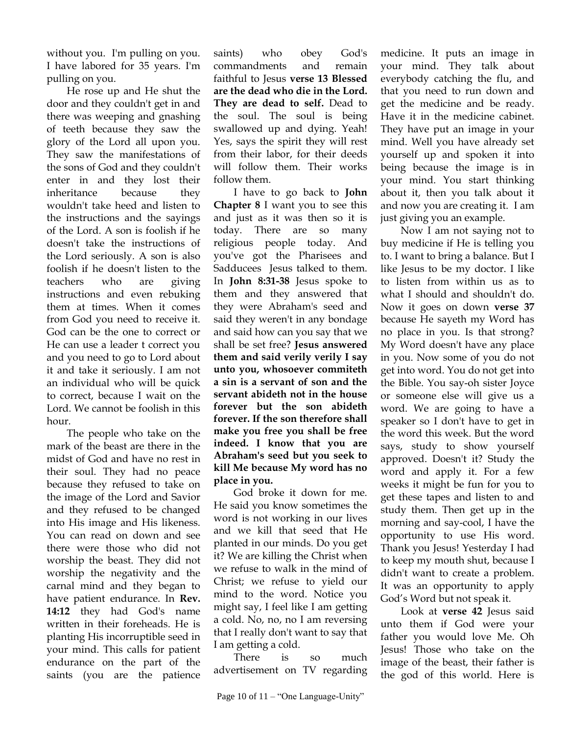without you. I'm pulling on you. I have labored for 35 years. I'm pulling on you.

He rose up and He shut the door and they couldn't get in and there was weeping and gnashing of teeth because they saw the glory of the Lord all upon you. They saw the manifestations of the sons of God and they couldn't enter in and they lost their inheritance because they wouldn't take heed and listen to the instructions and the sayings of the Lord. A son is foolish if he doesn't take the instructions of the Lord seriously. A son is also foolish if he doesn't listen to the teachers who are giving instructions and even rebuking them at times. When it comes from God you need to receive it. God can be the one to correct or He can use a leader t correct you and you need to go to Lord about it and take it seriously. I am not an individual who will be quick to correct, because I wait on the Lord. We cannot be foolish in this hour.

The people who take on the mark of the beast are there in the midst of God and have no rest in their soul. They had no peace because they refused to take on the image of the Lord and Savior and they refused to be changed into His image and His likeness. You can read on down and see there were those who did not worship the beast. They did not worship the negativity and the carnal mind and they began to have patient endurance. In **Rev. 14:12** they had God's name written in their foreheads. He is planting His incorruptible seed in your mind. This calls for patient endurance on the part of the saints (you are the patience

saints) who obey God's commandments and remain faithful to Jesus **verse 13 Blessed are the dead who die in the Lord. They are dead to self.** Dead to the soul. The soul is being swallowed up and dying. Yeah! Yes, says the spirit they will rest from their labor, for their deeds will follow them. Their works follow them.

I have to go back to **John Chapter 8** I want you to see this and just as it was then so it is today. There are so many religious people today. And you've got the Pharisees and Sadducees Jesus talked to them. In **John 8:31-38** Jesus spoke to them and they answered that they were Abraham's seed and said they weren't in any bondage and said how can you say that we shall be set free? **Jesus answered them and said verily verily I say unto you, whosoever commiteth a sin is a servant of son and the servant abideth not in the house forever but the son abideth forever. If the son therefore shall make you free you shall be free indeed. I know that you are Abraham's seed but you seek to kill Me because My word has no place in you.** 

God broke it down for me. He said you know sometimes the word is not working in our lives and we kill that seed that He planted in our minds. Do you get it? We are killing the Christ when we refuse to walk in the mind of Christ; we refuse to yield our mind to the word. Notice you might say, I feel like I am getting a cold. No, no, no I am reversing that I really don't want to say that I am getting a cold.

There is so much advertisement on TV regarding

medicine. It puts an image in your mind. They talk about everybody catching the flu, and that you need to run down and get the medicine and be ready. Have it in the medicine cabinet. They have put an image in your mind. Well you have already set yourself up and spoken it into being because the image is in your mind. You start thinking about it, then you talk about it and now you are creating it. I am just giving you an example.

Now I am not saying not to buy medicine if He is telling you to. I want to bring a balance. But I like Jesus to be my doctor. I like to listen from within us as to what I should and shouldn't do. Now it goes on down **verse 37** because He sayeth my Word has no place in you. Is that strong? My Word doesn't have any place in you. Now some of you do not get into word. You do not get into the Bible. You say-oh sister Joyce or someone else will give us a word. We are going to have a speaker so I don't have to get in the word this week. But the word says, study to show yourself approved. Doesn't it? Study the word and apply it. For a few weeks it might be fun for you to get these tapes and listen to and study them. Then get up in the morning and say-cool, I have the opportunity to use His word. Thank you Jesus! Yesterday I had to keep my mouth shut, because I didn't want to create a problem. It was an opportunity to apply God's Word but not speak it.

Look at **verse 42** Jesus said unto them if God were your father you would love Me. Oh Jesus! Those who take on the image of the beast, their father is the god of this world. Here is